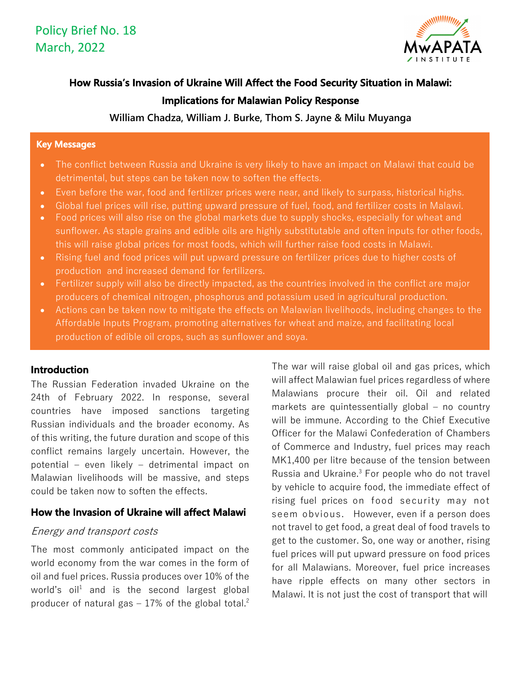## Policy Brief No. 18 March, 2022



# **How Russia's Invasion of Ukraine Will Affect the Food Security Situation in Malawi: Implications for Malawian Policy Response**

**William Chadza, William J. Burke, Thom S. Jayne & Milu Muyanga** 

#### **Key Messages**

- The conflict between Russia and Ukraine is very likely to have an impact on Malawi that could be detrimental, but steps can be taken now to soften the effects.
- Even before the war, food and fertilizer prices were near, and likely to surpass, historical highs.
- Global fuel prices will rise, putting upward pressure of fuel, food, and fertilizer costs in Malawi.
- Food prices will also rise on the global markets due to supply shocks, especially for wheat and sunflower. As staple grains and edible oils are highly substitutable and often inputs for other foods, this will raise global prices for most foods, which will further raise food costs in Malawi.
- Rising fuel and food prices will put upward pressure on fertilizer prices due to higher costs of production and increased demand for fertilizers.
- Fertilizer supply will also be directly impacted, as the countries involved in the conflict are major producers of chemical nitrogen, phosphorus and potassium used in agricultural production.
- Actions can be taken now to mitigate the effects on Malawian livelihoods, including changes to the Affordable Inputs Program, promoting alternatives for wheat and maize, and facilitating local production of edible oil crops, such as sunflower and soya.

### **Introduction**

The Russian Federation invaded Ukraine on the 24th of February 2022. In response, several countries have imposed sanctions targeting Russian individuals and the broader economy. As of this writing, the future duration and scope of this conflict remains largely uncertain. However, the potential  $-$  even likely  $-$  detrimental impact on Malawian livelihoods will be massive, and steps could be taken now to soften the effects.

### **How the Invasion of Ukraine will affect Malawi**

### Energy and transport costs

The most commonly anticipated impact on the world economy from the war comes in the form of oil and fuel prices. Russia produces over 10% of the world's  $oil<sup>1</sup>$  and is the second largest global producer of natural gas  $-17\%$  of the global total.<sup>2</sup>

The war will raise global oil and gas prices, which will affect Malawian fuel prices regardless of where Malawians procure their oil. Oil and related markets are quintessentially global  $-$  no country will be immune. According to the Chief Executive Officer for the Malawi Confederation of Chambers of Commerce and Industry, fuel prices may reach MK1,400 per litre because of the tension between Russia and Ukraine. <sup>3</sup> For people who do not travel by vehicle to acquire food, the immediate effect of rising fuel prices on food security may not seem obvious. However, even if a person does not travel to get food, a great deal of food travels to get to the customer. So, one way or another, rising fuel prices will put upward pressure on food prices for all Malawians. Moreover, fuel price increases have ripple effects on many other sectors in Malawi. It is not just the cost of transport that will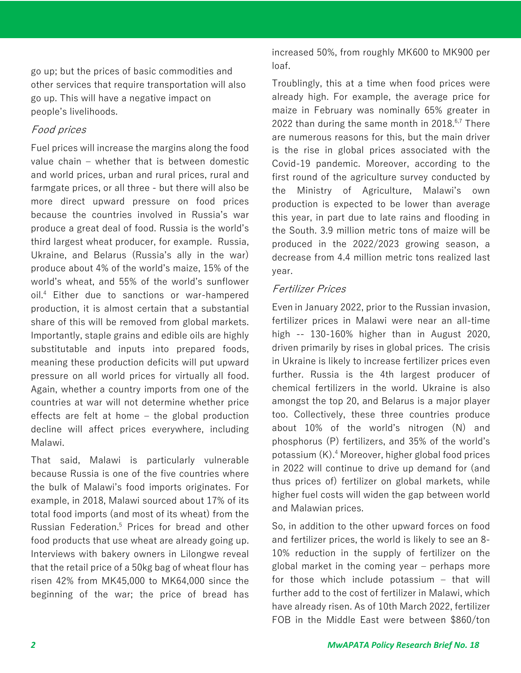go up; but the prices of basic commodities and other services that require transportation will also go up. This will have a negative impact on people's livelihoods.

### Food prices

Fuel prices will increase the margins along the food value chain  $-$  whether that is between domestic and world prices, urban and rural prices, rural and farmgate prices, or all three - but there will also be more direct upward pressure on food prices because the countries involved in Russia's war produce a great deal of food. Russia is the world's third largest wheat producer, for example. Russia, Ukraine, and Belarus (Russia's ally in the war) produce about 4% of the world's maize, 15% of the world's wheat, and 55% of the world's sunflower oil. <sup>4</sup> Either due to sanctions or war-hampered production, it is almost certain that a substantial share of this will be removed from global markets. Importantly, staple grains and edible oils are highly substitutable and inputs into prepared foods, meaning these production deficits will put upward pressure on all world prices for virtually all food. Again, whether a country imports from one of the countries at war will not determine whether price effects are felt at home  $-$  the global production decline will affect prices everywhere, including Malawi.

That said, Malawi is particularly vulnerable because Russia is one of the five countries where the bulk of Malawi's food imports originates. For example, in 2018, Malawi sourced about 17% of its total food imports (and most of its wheat) from the Russian Federation. <sup>5</sup> Prices for bread and other food products that use wheat are already going up. Interviews with bakery owners in Lilongwe reveal that the retail price of a 50kg bag of wheat flour has risen 42% from MK45,000 to MK64,000 since the beginning of the war; the price of bread has

increased 50%, from roughly MK600 to MK900 per loaf.

Troublingly, this at a time when food prices were already high. For example, the average price for maize in February was nominally 65% greater in 2022 than during the same month in 2018. 6,7 There are numerous reasons for this, but the main driver is the rise in global prices associated with the Covid-19 pandemic. Moreover, according to the first round of the agriculture survey conducted by the Ministry of Agriculture, Malawi's own production is expected to be lower than average this year, in part due to late rains and flooding in the South. 3.9 million metric tons of maize will be produced in the 2022/2023 growing season, a decrease from 4.4 million metric tons realized last year.

### Fertilizer Prices

Even in January 2022, prior to the Russian invasion, fertilizer prices in Malawi were near an all-time high -- 130-160% higher than in August 2020, driven primarily by rises in global prices. The crisis in Ukraine is likely to increase fertilizer prices even further. Russia is the 4th largest producer of chemical fertilizers in the world. Ukraine is also amongst the top 20, and Belarus is a major player too. Collectively, these three countries produce about 10% of the world's nitrogen (N) and phosphorus (P) fertilizers, and 35% of the world's potassium (K). <sup>4</sup> Moreover, higher global food prices in 2022 will continue to drive up demand for (and thus prices of) fertilizer on global markets, while higher fuel costs will widen the gap between world and Malawian prices.

So, in addition to the other upward forces on food and fertilizer prices, the world is likely to see an 8- 10% reduction in the supply of fertilizer on the global market in the coming year  $-$  perhaps more for those which include potassium  $-$  that will further add to the cost of fertilizer in Malawi, which have already risen. As of 10th March 2022, fertilizer FOB in the Middle East were between \$860/ton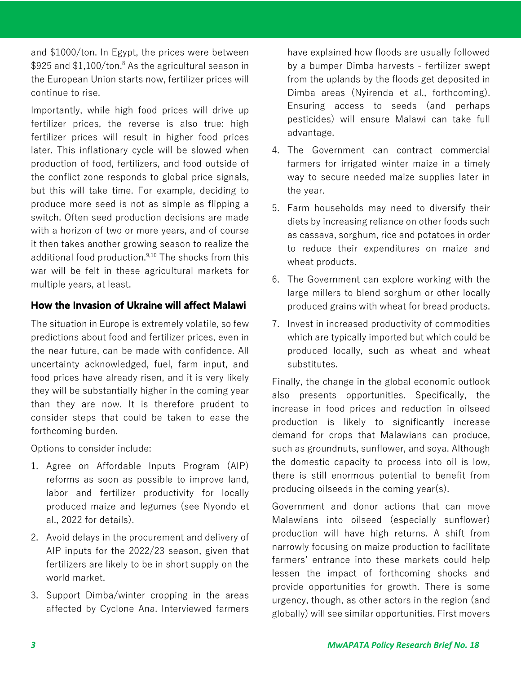and \$1000/ton. In Egypt, the prices were between \$925 and \$1,100/ton. <sup>8</sup> As the agricultural season in the European Union starts now, fertilizer prices will continue to rise.

Importantly, while high food prices will drive up fertilizer prices, the reverse is also true: high fertilizer prices will result in higher food prices later. This inflationary cycle will be slowed when production of food, fertilizers, and food outside of the conflict zone responds to global price signals, but this will take time. For example, deciding to produce more seed is not as simple as flipping a switch. Often seed production decisions are made with a horizon of two or more years, and of course it then takes another growing season to realize the additional food production. 9,10 The shocks from this war will be felt in these agricultural markets for multiple years, at least.

### **How the Invasion of Ukraine will affect Malawi**

The situation in Europe is extremely volatile, so few predictions about food and fertilizer prices, even in the near future, can be made with confidence. All uncertainty acknowledged, fuel, farm input, and food prices have already risen, and it is very likely they will be substantially higher in the coming year than they are now. It is therefore prudent to consider steps that could be taken to ease the forthcoming burden.

Options to consider include:

- 1. Agree on Affordable Inputs Program (AIP) reforms as soon as possible to improve land, labor and fertilizer productivity for locally produced maize and legumes (see Nyondo et al., 2022 for details).
- 2. Avoid delays in the procurement and delivery of AIP inputs for the 2022/23 season, given that fertilizers are likely to be in short supply on the world market.
- 3. Support Dimba/winter cropping in the areas affected by Cyclone Ana. Interviewed farmers

have explained how floods are usually followed by a bumper Dimba harvests - fertilizer swept from the uplands by the floods get deposited in Dimba areas (Nyirenda et al., forthcoming). Ensuring access to seeds (and perhaps pesticides) will ensure Malawi can take full advantage.

- 4. The Government can contract commercial farmers for irrigated winter maize in a timely way to secure needed maize supplies later in the year.
- 5. Farm households may need to diversify their diets by increasing reliance on other foods such as cassava, sorghum, rice and potatoes in order to reduce their expenditures on maize and wheat products.
- 6. The Government can explore working with the large millers to blend sorghum or other locally produced grains with wheat for bread products.
- 7. Invest in increased productivity of commodities which are typically imported but which could be produced locally, such as wheat and wheat substitutes.

Finally, the change in the global economic outlook also presents opportunities. Specifically, the increase in food prices and reduction in oilseed production is likely to significantly increase demand for crops that Malawians can produce, such as groundnuts, sunflower, and soya. Although the domestic capacity to process into oil is low, there is still enormous potential to benefit from producing oilseeds in the coming year(s).

Government and donor actions that can move Malawians into oilseed (especially sunflower) production will have high returns. A shift from narrowly focusing on maize production to facilitate farmers' entrance into these markets could help lessen the impact of forthcoming shocks and provide opportunities for growth. There is some urgency, though, as other actors in the region (and globally) will see similar opportunities. First movers